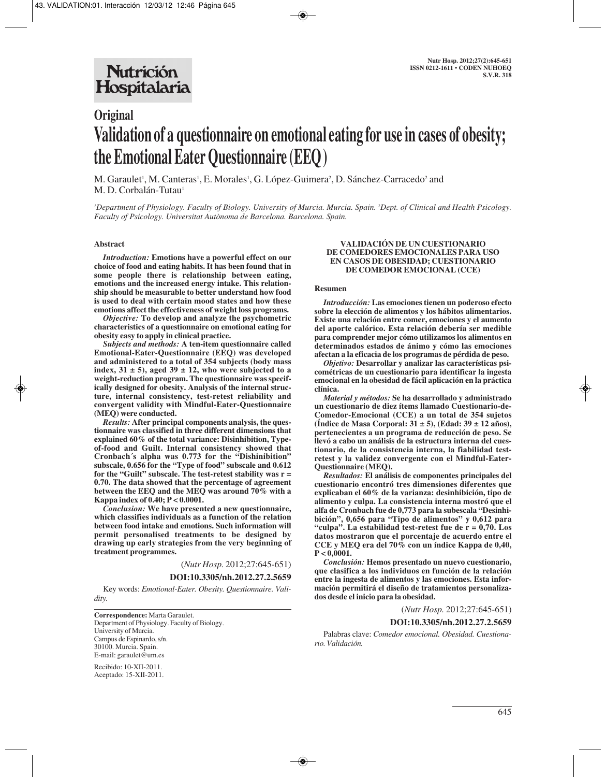# **Original Validation of a questionnaire on emotional eating for use in cases of obesity; the Emotional Eater Questionnaire (EEQ)**

M. Garaulet<sup>1</sup>, M. Canteras<sup>1</sup>, E. Morales<sup>1</sup>, G. López-Guimera<sup>2</sup>, D. Sánchez-Carracedo<sup>2</sup> and M. D. Corbalán-Tutau<sup>1</sup>

*1 Department of Physiology. Faculty of Biology. University of Murcia. Murcia. Spain. 2 Dept. of Clinical and Health Psicology. Faculty of Psicology. Universitat Autònoma de Barcelona. Barcelona. Spain.*

#### **Abstract**

*Introduction:* **Emotions have a powerful effect on our choice of food and eating habits. It has been found that in some people there is relationship between eating, emotions and the increased energy intake. This relationship should be measurable to better understand how food is used to deal with certain mood states and how these emotions affect the effectiveness of weight loss programs.** 

*Objective:* **To develop and analyze the psychometric characteristics of a questionnaire on emotional eating for obesity easy to apply in clinical practice.**

*Subjects and methods:* **A ten-item questionnaire called Emotional-Eater-Questionnaire (EEQ) was developed and administered to a total of 354 subjects (body mass** index,  $31 \pm 5$ ), aged  $39 \pm 12$ , who were subjected to a **weight-reduction program. The questionnaire was specifically designed for obesity. Analysis of the internal structure, internal consistency, test-retest reliability and convergent validity with Mindful-Eater-Questionnaire (MEQ) were conducted.**

*Results:* **After principal components analysis, the questionnaire was classified in three different dimensions that explained 60% of the total variance: Disinhibition, Typeof-food and Guilt. Internal consistency showed that Cronbach´s alpha was 0.773 for the "Dishinibition" subscale, 0.656 for the "Type of food" subscale and 0.612 for the "Guilt" subscale. The test-retest stability was r = 0.70. The data showed that the percentage of agreement between the EEQ and the MEQ was around 70% with a Kappa index of 0.40; P < 0.0001.**

*Conclusion:* **We have presented a new questionnaire, which classifies individuals as a function of the relation between food intake and emotions. Such information will permit personalised treatments to be designed by drawing up early strategies from the very beginning of treatment programmes.**

(*Nutr Hosp.* 2012;27:645-651)

#### **DOI:10.3305/nh.2012.27.2.5659**

Key words: *Emotional-Eater. Obesity. Questionnaire. Validity.*

**Correspondence:** Marta Garaulet. Department of Physiology. Faculty of Biology. University of Murcia. Campus de Espinardo, s/n. 30100. Murcia. Spain. E-mail: garaulet@um.es

Recibido: 10-XII-2011. Aceptado: 15-XII-2011.

#### **VALIDACIÓN DE UN CUESTIONARIO DE COMEDORES EMOCIONALES PARA USO EN CASOS DE OBESIDAD; CUESTIONARIO DE COMEDOR EMOCIONAL (CCE)**

#### **Resumen**

*Introducción:* **Las emociones tienen un poderoso efecto sobre la elección de alimentos y los hábitos alimentarios. Existe una relación entre comer, emociones y el aumento del aporte calórico. Esta relación debería ser medible para comprender mejor cómo utilizamos los alimentos en determinados estados de ánimo y cómo las emociones afectan a la eficacia de los programas de pérdida de peso.**

*Objetivo:* **Desarrollar y analizar las características psicométricas de un cuestionario para identificar la ingesta emocional en la obesidad de fácil aplicación en la práctica clínica.**

*Material y métodos:* **Se ha desarrollado y administrado un cuestionario de diez ítems llamado Cuestionario-de-Comedor-Emocional (CCE) a un total de 354 sujetos (Índice de Masa Corporal: 31 ± 5), (Edad: 39 ± 12 años), pertenecientes a un programa de reducción de peso. Se llevó a cabo un análisis de la estructura interna del cuestionario, de la consistencia interna, la fiabilidad testretest y la validez convergente con el Mindful-Eater-Questionnaire (MEQ).**

*Resultados:* **El análisis de componentes principales del cuestionario encontró tres dimensiones diferentes que explicaban el 60% de la varianza: desinhibición, tipo de alimento y culpa. La consistencia interna mostró que el alfa de Cronbach fue de 0,773 para la subescala "Desinhibición", 0,656 para "Tipo de alimentos" y 0,612 para "culpa". La estabilidad test-retest fue de r = 0,70. Los datos mostraron que el porcentaje de acuerdo entre el CCE y MEQ era del 70% con un índice Kappa de 0,40, P < 0,0001.** 

*Conclusión:* **Hemos presentado un nuevo cuestionario, que clasifica a los individuos en función de la relación entre la ingesta de alimentos y las emociones. Esta información permitirá el diseño de tratamientos personalizados desde el inicio para la obesidad.**

(*Nutr Hosp.* 2012;27:645-651)

### **DOI:10.3305/nh.2012.27.2.5659**

Palabras clave: *Comedor emocional. Obesidad. Cuestionario. Validación.*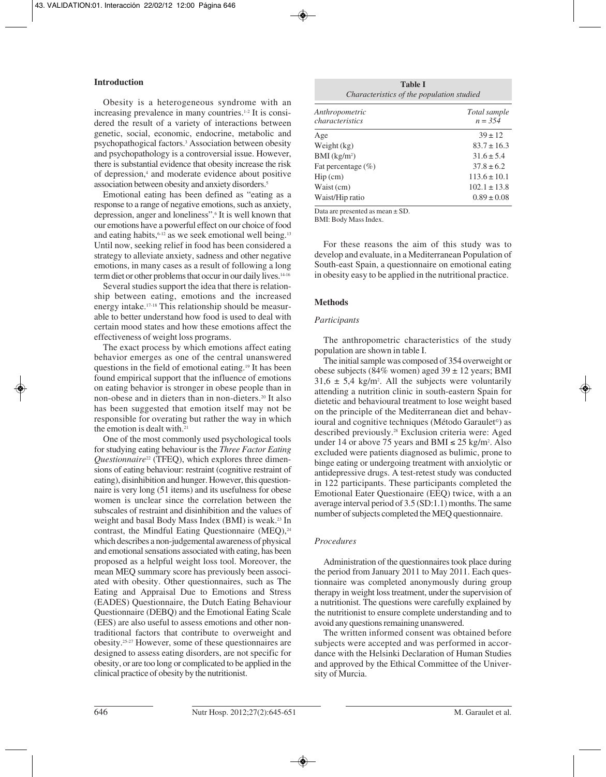## **Introduction**

Obesity is a heterogeneous syndrome with an increasing prevalence in many countries. $1-2$  It is considered the result of a variety of interactions between genetic, social, economic, endocrine, metabolic and psychopathogical factors.3 Association between obesity and psychopathology is a controversial issue. However, there is substantial evidence that obesity increase the risk of depression,4 and moderate evidence about positive association between obesity and anxiety disorders.<sup>5</sup>

Emotional eating has been defined as "eating as a response to a range of negative emotions, such as anxiety, depression, anger and loneliness".6 It is well known that our emotions have a powerful effect on our choice of food and eating habits,  $6-12$  as we seek emotional well being.<sup>13</sup> Until now, seeking relief in food has been considered a strategy to alleviate anxiety, sadness and other negative emotions, in many cases as a result of following a long term diet or other problems that occur in our daily lives.<sup>14-16</sup>

Several studies support the idea that there is relationship between eating, emotions and the increased energy intake.17-18 This relationship should be measurable to better understand how food is used to deal with certain mood states and how these emotions affect the effectiveness of weight loss programs.

The exact process by which emotions affect eating behavior emerges as one of the central unanswered questions in the field of emotional eating.19 It has been found empirical support that the influence of emotions on eating behavior is stronger in obese people than in non-obese and in dieters than in non-dieters.20 It also has been suggested that emotion itself may not be responsible for overating but rather the way in which the emotion is dealt with.21

One of the most commonly used psychological tools for studying eating behaviour is the *Three Factor Eating Questionnaire*<sup>22</sup> (TFEQ), which explores three dimensions of eating behaviour: restraint (cognitive restraint of eating), disinhibition and hunger. However, this questionnaire is very long (51 items) and its usefulness for obese women is unclear since the correlation between the subscales of restraint and disinhibition and the values of weight and basal Body Mass Index (BMI) is weak.<sup>23</sup> In contrast, the Mindful Eating Questionnaire  $(MEQ)$ ,<sup>24</sup> which describes a non-judgemental awareness of physical and emotional sensations associated with eating, has been proposed as a helpful weight loss tool. Moreover, the mean MEQ summary score has previously been associated with obesity. Other questionnaires, such as The Eating and Appraisal Due to Emotions and Stress (EADES) Questionnaire, the Dutch Eating Behaviour Questionnaire (DEBQ) and the Emotional Eating Scale (EES) are also useful to assess emotions and other nontraditional factors that contribute to overweight and obesity.25-27 However, some of these questionnaires are designed to assess eating disorders, are not specific for obesity, or are too long or complicated to be applied in the clinical practice of obesity by the nutritionist.

| Table I<br>Characteristics of the population studied |                           |  |  |
|------------------------------------------------------|---------------------------|--|--|
| Anthropometric<br>characteristics                    | Total sample<br>$n = 354$ |  |  |
| Age                                                  | $39 \pm 12$               |  |  |
| Weight (kg)                                          | $83.7 \pm 16.3$           |  |  |
| $BMI$ (kg/m <sup>2</sup> )                           | $31.6 \pm 5.4$            |  |  |
| Fat percentage $(\% )$                               | $37.8 \pm 6.2$            |  |  |
| $\text{Hip}\left(\text{cm}\right)$                   | $113.6 \pm 10.1$          |  |  |
| Waist (cm)                                           | $102.1 \pm 13.8$          |  |  |
| Waist/Hip ratio                                      | $0.89 \pm 0.08$           |  |  |

Data are presented as mean ± SD.

BMI: Body Mass Index.

For these reasons the aim of this study was to develop and evaluate, in a Mediterranean Population of South-east Spain, a questionnaire on emotional eating in obesity easy to be applied in the nutritional practice.

## **Methods**

## *Participants*

The anthropometric characteristics of the study population are shown in table I.

The initial sample was composed of 354 overweight or obese subjects (84% women) aged  $39 \pm 12$  years; BMI  $31,6 \pm 5,4$  kg/m<sup>2</sup>. All the subjects were voluntarily attending a nutrition clinic in south-eastern Spain for dietetic and behavioural treatment to lose weight based on the principle of the Mediterranean diet and behavioural and cognitive techniques (Método Garaulet©) as described previously.<sup>28</sup> Exclusion criteria were: Aged under 14 or above 75 years and BMI ≤ 25 kg/m<sup>2</sup>. Also excluded were patients diagnosed as bulimic, prone to binge eating or undergoing treatment with anxiolytic or antidepressive drugs. A test-retest study was conducted in 122 participants. These participants completed the Emotional Eater Questionaire (EEQ) twice, with a an average interval period of 3.5 (SD:1.1) months. The same number of subjects completed the MEQ questionnaire.

## *Procedures*

Administration of the questionnaires took place during the period from January 2011 to May 2011. Each questionnaire was completed anonymously during group therapy in weight loss treatment, under the supervision of a nutritionist. The questions were carefully explained by the nutritionist to ensure complete understanding and to avoid any questions remaining unanswered.

The written informed consent was obtained before subjects were accepted and was performed in accordance with the Helsinki Declaration of Human Studies and approved by the Ethical Committee of the University of Murcia.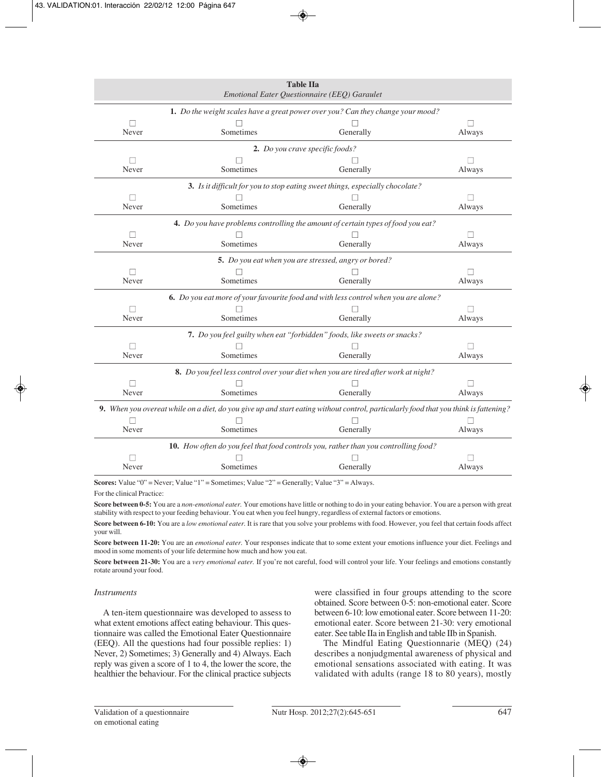| <b>Table IIa</b><br>Emotional Eater Questionnaire (EEQ) Garaulet                                                                     |           |                                                                                    |                   |  |
|--------------------------------------------------------------------------------------------------------------------------------------|-----------|------------------------------------------------------------------------------------|-------------------|--|
| 1. Do the weight scales have a great power over you? Can they change your mood?                                                      |           |                                                                                    |                   |  |
|                                                                                                                                      |           |                                                                                    | $\Box$            |  |
| Never                                                                                                                                | Sometimes | Generally                                                                          | Always            |  |
|                                                                                                                                      |           | <b>2.</b> Do you crave specific foods?                                             |                   |  |
| $\mathbf{L}$                                                                                                                         |           |                                                                                    | $\vert \ \ \vert$ |  |
| Never                                                                                                                                | Sometimes | Generally                                                                          | Always            |  |
|                                                                                                                                      |           | 3. Is it difficult for you to stop eating sweet things, especially chocolate?      |                   |  |
|                                                                                                                                      |           |                                                                                    |                   |  |
| Never                                                                                                                                | Sometimes | Generally                                                                          | Always            |  |
|                                                                                                                                      |           | 4. Do you have problems controlling the amount of certain types of food you eat?   |                   |  |
|                                                                                                                                      |           |                                                                                    |                   |  |
| Never                                                                                                                                | Sometimes | Generally                                                                          | Always            |  |
|                                                                                                                                      |           | 5. Do you eat when you are stressed, angry or bored?                               |                   |  |
|                                                                                                                                      |           |                                                                                    |                   |  |
| Never                                                                                                                                | Sometimes | Generally                                                                          | Always            |  |
| 6. Do you eat more of your favourite food and with less control when you are alone?                                                  |           |                                                                                    |                   |  |
|                                                                                                                                      |           |                                                                                    |                   |  |
| Never                                                                                                                                | Sometimes | Generally                                                                          | Always            |  |
|                                                                                                                                      |           | 7. Do you feel guilty when eat "forbidden" foods, like sweets or snacks?           |                   |  |
|                                                                                                                                      |           |                                                                                    |                   |  |
| Never                                                                                                                                | Sometimes | Generally                                                                          | Always            |  |
|                                                                                                                                      |           | 8. Do you feel less control over your diet when you are tired after work at night? |                   |  |
|                                                                                                                                      |           |                                                                                    |                   |  |
| Never                                                                                                                                | Sometimes | Generally                                                                          | Always            |  |
| 9. When you overeat while on a diet, do you give up and start eating without control, particularly food that you think is fattening? |           |                                                                                    |                   |  |
|                                                                                                                                      |           |                                                                                    |                   |  |
| Never                                                                                                                                | Sometimes | Generally                                                                          | Always            |  |
| 10. How often do you feel that food controls you, rather than you controlling food?                                                  |           |                                                                                    |                   |  |
|                                                                                                                                      |           |                                                                                    |                   |  |
| Never                                                                                                                                | Sometimes | Generally                                                                          | Always            |  |

Scores: Value "0" = Never; Value "1" = Sometimes; Value "2" = Generally; Value "3" = Always.

For the clinical Practice:

**Score between 0-5:** You are a *non-emotional eater.* Your emotions have little or nothing to do in your eating behavior. You are a person with great stability with respect to your feeding behaviour. You eat when you feel hungry, regardless of external factors or emotions.

**Score between 6-10:** You are a *low emotional eater.* It is rare that you solve your problems with food. However, you feel that certain foods affect your will.

**Score between 11-20:** You are an *emotional eater.* Your responses indicate that to some extent your emotions influence your diet. Feelings and mood in some moments of your life determine how much and how you eat.

**Score between 21-30:** You are a *very emotional eater.* If you're not careful, food will control your life. Your feelings and emotions constantly rotate around your food.

## *Instruments*

A ten-item questionnaire was developed to assess to what extent emotions affect eating behaviour. This questionnaire was called the Emotional Eater Questionnaire (EEQ). All the questions had four possible replies: 1) Never, 2) Sometimes; 3) Generally and 4) Always. Each reply was given a score of 1 to 4, the lower the score, the healthier the behaviour. For the clinical practice subjects were classified in four groups attending to the score obtained. Score between 0-5: non-emotional eater. Score between 6-10: low emotional eater. Score between 11-20: emotional eater. Score between 21-30: very emotional eater. See table IIa in English and table IIb in Spanish.

The Mindful Eating Questionnarie (MEQ) (24) describes a nonjudgmental awareness of physical and emotional sensations associated with eating. It was validated with adults (range 18 to 80 years), mostly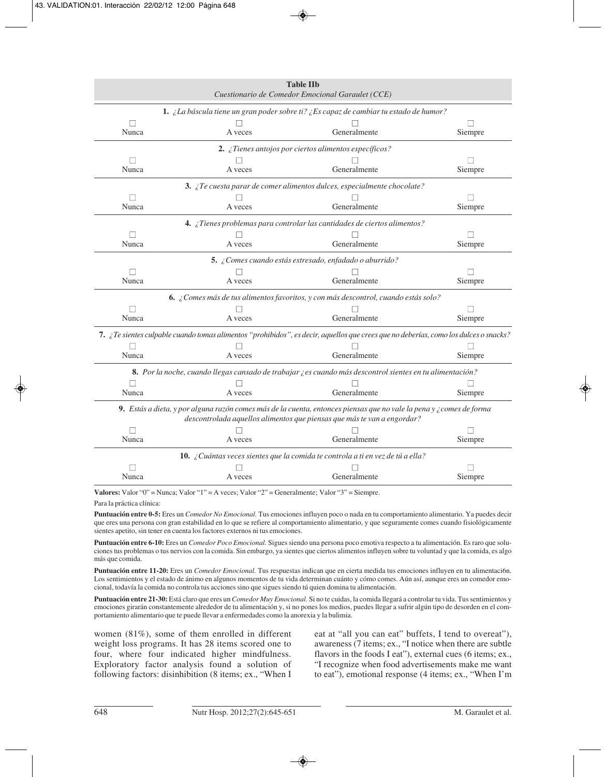| <b>Table IIb</b><br>Cuestionario de Comedor Emocional Garaulet (CCE)                                                                                                                                        |         |                                                                                                                                      |                   |  |
|-------------------------------------------------------------------------------------------------------------------------------------------------------------------------------------------------------------|---------|--------------------------------------------------------------------------------------------------------------------------------------|-------------------|--|
|                                                                                                                                                                                                             |         | 1. ¿La báscula tiene un gran poder sobre ti? ¿Es capaz de cambiar tu estado de humor?                                                |                   |  |
|                                                                                                                                                                                                             |         |                                                                                                                                      |                   |  |
| Nunca                                                                                                                                                                                                       | A veces | Generalmente                                                                                                                         | Siempre           |  |
|                                                                                                                                                                                                             |         | 2. ¿Tienes antojos por ciertos alimentos específicos?                                                                                |                   |  |
| $\perp$                                                                                                                                                                                                     |         |                                                                                                                                      |                   |  |
| Nunca                                                                                                                                                                                                       | A veces | Generalmente                                                                                                                         | Siempre           |  |
|                                                                                                                                                                                                             |         | 3. ¿Te cuesta parar de comer alimentos dulces, especialmente chocolate?                                                              |                   |  |
|                                                                                                                                                                                                             |         |                                                                                                                                      |                   |  |
| Nunca                                                                                                                                                                                                       | A veces | Generalmente                                                                                                                         | Siempre           |  |
|                                                                                                                                                                                                             |         | 4. ¿Tienes problemas para controlar las cantidades de ciertos alimentos?                                                             |                   |  |
| П                                                                                                                                                                                                           |         |                                                                                                                                      | $\vert \ \ \vert$ |  |
| Nunca                                                                                                                                                                                                       | A veces | Generalmente                                                                                                                         | Siempre           |  |
|                                                                                                                                                                                                             |         | 5. ¿Comes cuando estás estresado, enfadado o aburrido?                                                                               |                   |  |
| П                                                                                                                                                                                                           |         |                                                                                                                                      |                   |  |
| Nunca                                                                                                                                                                                                       | A veces | Generalmente                                                                                                                         | Siempre           |  |
|                                                                                                                                                                                                             |         | 6. ¿Comes más de tus alimentos favoritos, y con más descontrol, cuando estás solo?                                                   |                   |  |
|                                                                                                                                                                                                             |         |                                                                                                                                      |                   |  |
| Nunca                                                                                                                                                                                                       | A veces | Generalmente                                                                                                                         | Siempre           |  |
|                                                                                                                                                                                                             |         | 7. ¿Te sientes culpable cuando tomas alimentos "prohibidos", es decir, aquellos que crees que no deberías, como los dulces o snacks? |                   |  |
|                                                                                                                                                                                                             |         |                                                                                                                                      |                   |  |
| Nunca                                                                                                                                                                                                       | A veces | Generalmente                                                                                                                         | Siempre           |  |
|                                                                                                                                                                                                             |         | 8. Por la noche, cuando llegas cansado de trabajar ¿es cuando más descontrol sientes en tu alimentación?                             |                   |  |
|                                                                                                                                                                                                             |         |                                                                                                                                      |                   |  |
| Nunca                                                                                                                                                                                                       | A veces | Generalmente                                                                                                                         | Siempre           |  |
| <b>9.</b> Estás a dieta, y por alguna razón comes más de la cuenta, entonces piensas que no vale la pena y $\chi$ comes de forma<br>descontrolada aquellos alimentos que piensas que más te van a engordar? |         |                                                                                                                                      |                   |  |
|                                                                                                                                                                                                             |         |                                                                                                                                      |                   |  |
| Nunca                                                                                                                                                                                                       | A veces | Generalmente                                                                                                                         | Siempre           |  |
| 10. ¿Cuántas veces sientes que la comida te controla a ti en vez de tú a ella?                                                                                                                              |         |                                                                                                                                      |                   |  |
|                                                                                                                                                                                                             |         |                                                                                                                                      |                   |  |
| Nunca                                                                                                                                                                                                       | A veces | Generalmente                                                                                                                         | Siempre           |  |

**Valores:** Valor "0" = Nunca; Valor "1" = A veces; Valor "2" = Generalmente; Valor "3" = Siempre.

Para la práctica clínica:

**Puntuación entre 0-5:** Eres un *Comedor No Emocional.* Tus emociones influyen poco o nada en tu comportamiento alimentario. Ya puedes decir que eres una persona con gran estabilidad en lo que se refiere al comportamiento alimentario, y que seguramente comes cuando fisiológicamente sientes apetito, sin tener en cuenta los factores externos ni tus emociones.

**Puntuación entre 6-10:** Eres un *Comedor Poco Emocional.* Sigues siendo una persona poco emotiva respecto a tu alimentación. Es raro que soluciones tus problemas o tus nervios con la comida. Sin embargo, ya sientes que ciertos alimentos influyen sobre tu voluntad y que la comida, es algo más que comida.

**Puntuación entre 11-20:** Eres un *Comedor Emocional.* Tus respuestas indican que en cierta medida tus emociones influyen en tu alimentaci6n. Los sentimientos y el estado de ánimo en algunos momentos de tu vida determinan cuánto y cómo comes. Aún así, aunque eres un comedor emocional, todavía la comida no controla tus acciones sino que sigues siendo tú quien domina tu alimentación.

**Puntuación entre 21-30:** Está claro que eres un *Comedor Muy Emocional.* Si no te cuidas, la comida llegará a controlar tu vida. Tus sentimientos y emociones girarán constantemente alrededor de tu alimentación y, si no pones los medios, puedes llegar a sufrir algún tipo de desorden en el comportamiento alimentario que te puede llevar a enfermedades como la anorexia y la bulimia.

women (81%), some of them enrolled in different weight loss programs. It has 28 items scored one to four, where four indicated higher mindfulness. Exploratory factor analysis found a solution of following factors: disinhibition (8 items; ex., "When I

eat at "all you can eat" buffets, I tend to overeat"), awareness (7 items; ex., "I notice when there are subtle flavors in the foods I eat"), external cues (6 items; ex., "I recognize when food advertisements make me want to eat"), emotional response (4 items; ex., "When I'm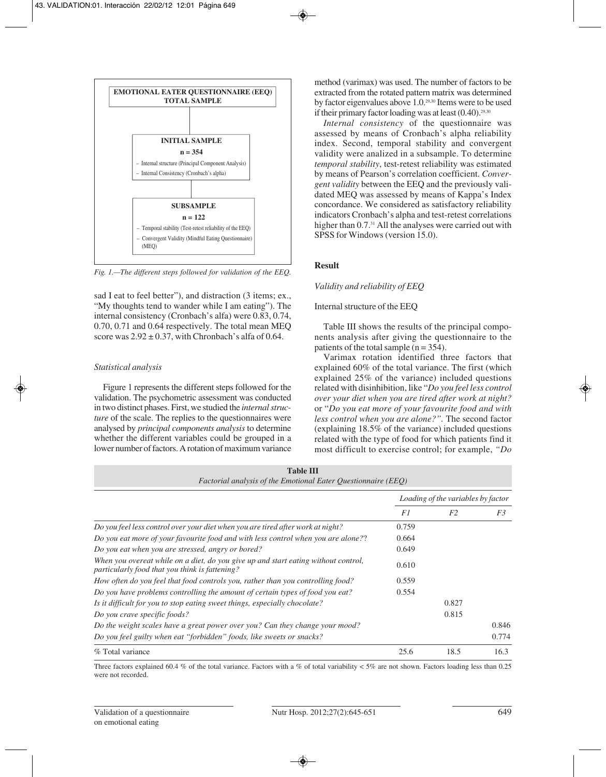

*Fig. 1.—The different steps followed for validation of the EEQ.*

sad I eat to feel better"), and distraction (3 items; ex., "My thoughts tend to wander while I am eating"). The internal consistency (Cronbach's alfa) were 0.83, 0.74, 0.70, 0.71 and 0.64 respectively. The total mean MEQ score was  $2.92 \pm 0.37$ , with Chronbach's alfa of 0.64.

# *Statistical analysis*

Figure 1 represents the different steps followed for the validation. The psychometric assessment was conducted in two distinct phases. First, we studied the *internal structure* of the scale. The replies to the questionnaires were analysed by *principal components analysis* to determine whether the different variables could be grouped in a lower number of factors. A rotation of maximum variance method (varimax) was used. The number of factors to be extracted from the rotated pattern matrix was determined by factor eigenvalues above 1.0.29,30 Items were to be used if their primary factor loading was at least  $(0.40)$ .<sup>29,30</sup>

*Internal consistency* of the questionnaire was assessed by means of Cronbach's alpha reliability index. Second, temporal stability and convergent validity were analized in a subsample. To determine *temporal stability*, test-retest reliability was estimated by means of Pearson's correlation coefficient. *Convergent validity* between the EEQ and the previously validated MEQ was assessed by means of Kappa's Index concordance. We considered as satisfactory reliability indicators Cronbach's alpha and test-retest correlations higher than 0.7.<sup>31</sup> All the analyses were carried out with SPSS for Windows (version 15.0).

# **Result**

# *Validity and reliability of EEQ*

# Internal structure of the EEQ

Table III shows the results of the principal components analysis after giving the questionnaire to the patients of the total sample  $(n = 354)$ .

Varimax rotation identified three factors that explained 60% of the total variance. The first (which explained 25% of the variance) included questions related with disinhibition, like "*Do you feel less control over your diet when you are tired after work at night?* or "*Do you eat more of your favourite food and with less control when you are alone?".* The second factor (explaining 18.5% of the variance) included questions related with the type of food for which patients find it most difficult to exercise control; for example, *"Do*

| <b>Table III</b><br><i>Factorial analysis of the Emotional Eater Questionnaire (EEQ)</i>                                             |                                    |                |       |  |  |
|--------------------------------------------------------------------------------------------------------------------------------------|------------------------------------|----------------|-------|--|--|
|                                                                                                                                      | Loading of the variables by factor |                |       |  |  |
|                                                                                                                                      | F1                                 | F <sub>2</sub> | F3    |  |  |
| Do you feel less control over your diet when you are tired after work at night?                                                      | 0.759                              |                |       |  |  |
| Do you eat more of your favourite food and with less control when you are alone??                                                    | 0.664                              |                |       |  |  |
| Do you eat when you are stressed, angry or bored?                                                                                    | 0.649                              |                |       |  |  |
| When you overeat while on a diet, do you give up and start eating without control,<br>particularly food that you think is fattening? | 0.610                              |                |       |  |  |
| How often do you feel that food controls you, rather than you controlling food?                                                      | 0.559                              |                |       |  |  |
| Do you have problems controlling the amount of certain types of food you eat?                                                        | 0.554                              |                |       |  |  |
| Is it difficult for you to stop eating sweet things, especially chocolate?                                                           |                                    | 0.827          |       |  |  |
| Do you crave specific foods?                                                                                                         |                                    | 0.815          |       |  |  |
| Do the weight scales have a great power over you? Can they change your mood?                                                         |                                    |                | 0.846 |  |  |
| Do you feel guilty when eat "forbidden" foods, like sweets or snacks?                                                                |                                    |                | 0.774 |  |  |
| % Total variance                                                                                                                     | 25.6                               | 18.5           | 16.3  |  |  |

Three factors explained 60.4 % of the total variance. Factors with a % of total variability  $< 5\%$  are not shown. Factors loading less than 0.25 were not recorded.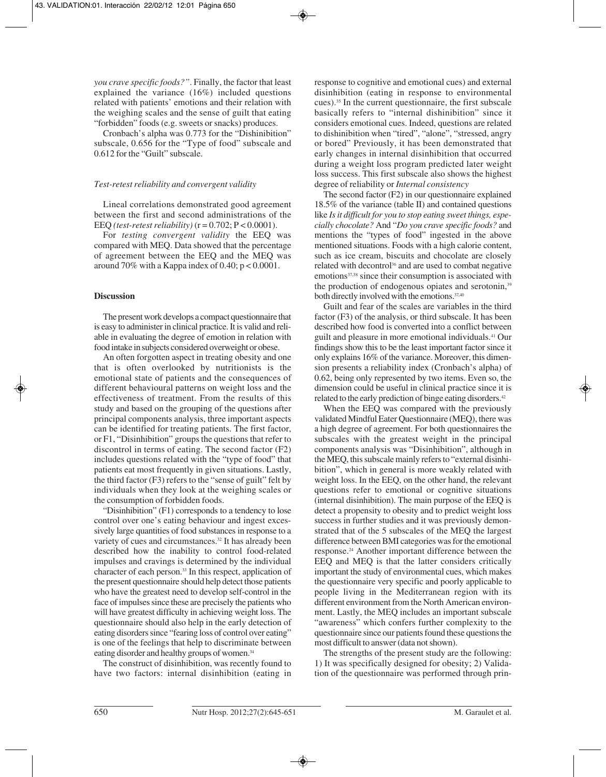*you crave specific foods?"*. Finally, the factor that least explained the variance (16%) included questions related with patients' emotions and their relation with the weighing scales and the sense of guilt that eating "forbidden" foods (e.g. sweets or snacks) produces.

Cronbach's alpha was 0.773 for the "Dishinibition" subscale, 0.656 for the "Type of food" subscale and 0.612 for the "Guilt" subscale.

## *Test-retest reliability and convergent validity*

Lineal correlations demonstrated good agreement between the first and second administrations of the EEQ (test-retest reliability)  $(r = 0.702; P < 0.0001)$ .

For *testing convergent validity* the EEQ was compared with MEQ. Data showed that the percentage of agreement between the EEQ and the MEQ was around 70% with a Kappa index of 0.40;  $p < 0.0001$ .

## **Discussion**

The present work develops a compact questionnaire that is easy to administer in clinical practice. It is valid and reliable in evaluating the degree of emotion in relation with food intake in subjects considered overweight or obese.

An often forgotten aspect in treating obesity and one that is often overlooked by nutritionists is the emotional state of patients and the consequences of different behavioural patterns on weight loss and the effectiveness of treatment. From the results of this study and based on the grouping of the questions after principal components analysis, three important aspects can be identified for treating patients. The first factor, or F1, "Disinhibition" groups the questions that refer to discontrol in terms of eating. The second factor (F2) includes questions related with the "type of food" that patients eat most frequently in given situations. Lastly, the third factor (F3) refers to the "sense of guilt" felt by individuals when they look at the weighing scales or the consumption of forbidden foods.

"Disinhibition" (F1) corresponds to a tendency to lose control over one's eating behaviour and ingest excessively large quantities of food substances in response to a variety of cues and circumstances.<sup>32</sup> It has already been described how the inability to control food-related impulses and cravings is determined by the individual character of each person.33 In this respect, application of the present questionnaire should help detect those patients who have the greatest need to develop self-control in the face of impulses since these are precisely the patients who will have greatest difficulty in achieving weight loss. The questionnaire should also help in the early detection of eating disorders since "fearing loss of control over eating" is one of the feelings that help to discriminate between eating disorder and healthy groups of women.<sup>34</sup>

The construct of disinhibition, was recently found to have two factors: internal disinhibition (eating in

response to cognitive and emotional cues) and external disinhibition (eating in response to environmental cues).35 In the current questionnaire, the first subscale basically refers to "internal dishinibition" since it considers emotional cues. Indeed, questions are related to dishinibition when "tired", "alone", "stressed, angry or bored" Previously, it has been demonstrated that early changes in internal disinhibition that occurred during a weight loss program predicted later weight loss success. This first subscale also shows the highest degree of reliability or *Internal consistency*

The second factor (F2) in our questionnaire explained 18.5% of the variance (table II) and contained questions like *Is it difficult for you to stop eating sweet things, especially chocolate?* And "*Do you crave specific foods?* and mentions the "types of food" ingested in the above mentioned situations. Foods with a high calorie content, such as ice cream, biscuits and chocolate are closely related with decontrol<sup>36</sup> and are used to combat negative emotions<sup>37,38</sup> since their consumption is associated with the production of endogenous opiates and serotonin,<sup>39</sup> both directly involved with the emotions.<sup>37,40</sup>

Guilt and fear of the scales are variables in the third factor (F3) of the analysis, or third subscale. It has been described how food is converted into a conflict between guilt and pleasure in more emotional individuals.<sup>41</sup> Our findings show this to be the least important factor since it only explains 16% of the variance. Moreover, this dimension presents a reliability index (Cronbach's alpha) of 0.62, being only represented by two items. Even so, the dimension could be useful in clinical practice since it is related to the early prediction of binge eating disorders.42

When the EEQ was compared with the previously validated Mindful Eater Questionnaire (MEQ), there was a high degree of agreement. For both questionnaires the subscales with the greatest weight in the principal components analysis was "Disinhibition", although in the MEQ, this subscale mainly refers to "external disinhibition", which in general is more weakly related with weight loss. In the EEQ, on the other hand, the relevant questions refer to emotional or cognitive situations (internal disinhibition). The main purpose of the EEQ is detect a propensity to obesity and to predict weight loss success in further studies and it was previously demonstrated that of the 5 subscales of the MEQ the largest difference between BMI categories was for the emotional response.24 Another important difference between the EEQ and MEQ is that the latter considers critically important the study of environmental cues, which makes the questionnaire very specific and poorly applicable to people living in the Mediterranean region with its different environment from the North American environment. Lastly, the MEQ includes an important subscale "awareness" which confers further complexity to the questionnaire since our patients found these questions the most difficult to answer (data not shown).

The strengths of the present study are the following: 1) It was specifically designed for obesity; 2) Validation of the questionnaire was performed through prin